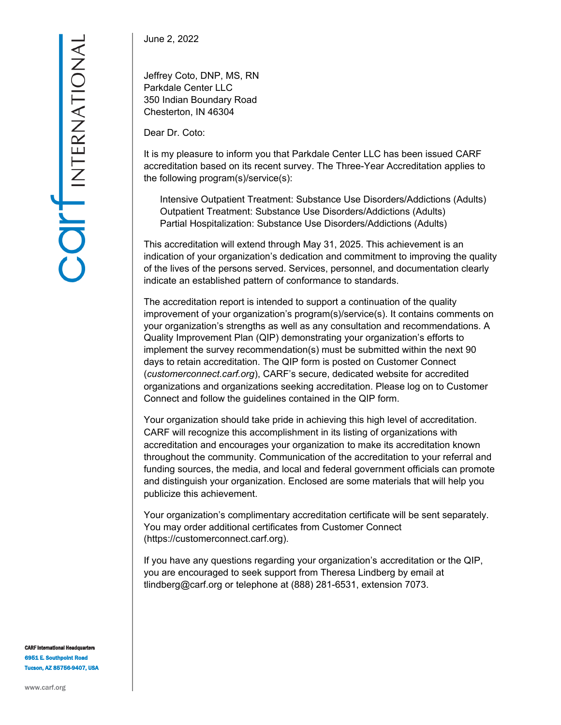June 2, 2022

Jeffrey Coto, DNP, MS, RN Parkdale Center LLC 350 Indian Boundary Road Chesterton, IN 46304

Dear Dr. Coto:

It is my pleasure to inform you that Parkdale Center LLC has been issued CARF accreditation based on its recent survey. The Three-Year Accreditation applies to the following program(s)/service(s):

Intensive Outpatient Treatment: Substance Use Disorders/Addictions (Adults) Outpatient Treatment: Substance Use Disorders/Addictions (Adults) Partial Hospitalization: Substance Use Disorders/Addictions (Adults)

This accreditation will extend through May 31, 2025. This achievement is an indication of your organization's dedication and commitment to improving the quality of the lives of the persons served. Services, personnel, and documentation clearly indicate an established pattern of conformance to standards.

The accreditation report is intended to support a continuation of the quality improvement of your organization's program(s)/service(s). It contains comments on your organization's strengths as well as any consultation and recommendations. A Quality Improvement Plan (QIP) demonstrating your organization's efforts to implement the survey recommendation(s) must be submitted within the next 90 days to retain accreditation. The QIP form is posted on Customer Connect (*customerconnect.carf.org*), CARF's secure, dedicated website for accredited organizations and organizations seeking accreditation. Please log on to Customer Connect and follow the guidelines contained in the QIP form.

Your organization should take pride in achieving this high level of accreditation. CARF will recognize this accomplishment in its listing of organizations with accreditation and encourages your organization to make its accreditation known throughout the community. Communication of the accreditation to your referral and funding sources, the media, and local and federal government officials can promote and distinguish your organization. Enclosed are some materials that will help you publicize this achievement.

Your organization's complimentary accreditation certificate will be sent separately. You may order additional certificates from Customer Connect (https://customerconnect.carf.org).

If you have any questions regarding your organization's accreditation or the QIP, you are encouraged to seek support from Theresa Lindberg by email at tlindberg@carf.org or telephone at (888) 281-6531, extension 7073.

**CARF International Headquarter** 6951 E. Southpoint Road Tucson, AZ 85756-9407, USA